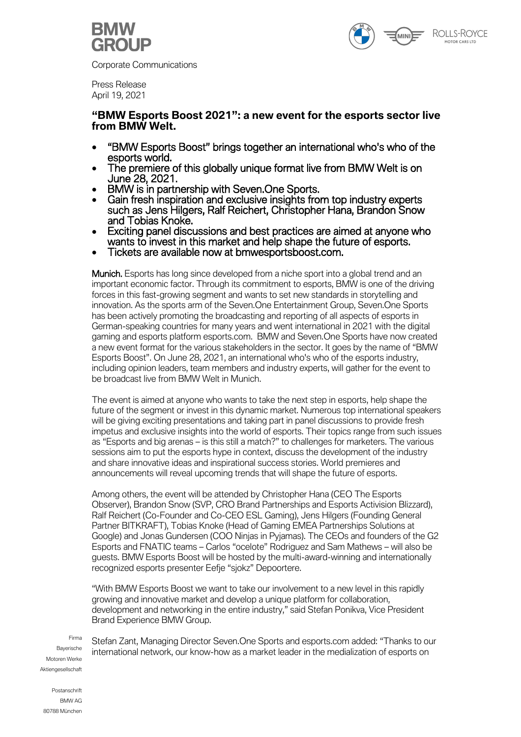

Corporate Communications



Press Release April 19, 2021

# **"BMW Esports Boost 2021": a new event for the esports sector live from BMW Welt.**

- "BMW Esports Boost" brings together an international who's who of the esports world.
- The premiere of this globally unique format live from BMW Welt is on June 28, 2021.
- BMW is in partnership with Seven.One Sports.
- Gain fresh inspiration and exclusive insights from top industry experts such as Jens Hilgers, Ralf Reichert, Christopher Hana, Brandon Snow and Tobias Knoke.
- Exciting panel discussions and best practices are aimed at anyone who wants to invest in this market and help shape the future of esports.
- Tickets are available now at bmwesportsboost.com.

Munich. Esports has long since developed from a niche sport into a global trend and an important economic factor. Through its commitment to esports, BMW is one of the driving forces in this fast-growing segment and wants to set new standards in storytelling and innovation. As the sports arm of the Seven.One Entertainment Group, Seven.One Sports has been actively promoting the broadcasting and reporting of all aspects of esports in German-speaking countries for many years and went international in 2021 with the digital gaming and esports platform esports.com. BMW and Seven.One Sports have now created a new event format for the various stakeholders in the sector. It goes by the name of "BMW Esports Boost". On June 28, 2021, an international who's who of the esports industry, including opinion leaders, team members and industry experts, will gather for the event to be broadcast live from BMW Welt in Munich.

The event is aimed at anyone who wants to take the next step in esports, help shape the future of the segment or invest in this dynamic market. Numerous top international speakers will be giving exciting presentations and taking part in panel discussions to provide fresh impetus and exclusive insights into the world of esports. Their topics range from such issues as "Esports and big arenas – is this still a match?" to challenges for marketers. The various sessions aim to put the esports hype in context, discuss the development of the industry and share innovative ideas and inspirational success stories. World premieres and announcements will reveal upcoming trends that will shape the future of esports.

Among others, the event will be attended by Christopher Hana (CEO The Esports Observer), Brandon Snow (SVP, CRO Brand Partnerships and Esports Activision Blizzard), Ralf Reichert (Co-Founder and Co-CEO ESL Gaming), Jens Hilgers (Founding General Partner BITKRAFT), Tobias Knoke (Head of Gaming EMEA Partnerships Solutions at Google) and Jonas Gundersen (COO Ninjas in Pyjamas). The CEOs and founders of the G2 Esports and FNATIC teams – Carlos "ocelote" Rodriguez and Sam Mathews – will also be guests. BMW Esports Boost will be hosted by the multi-award-winning and internationally recognized esports presenter Eefje "sjokz" Depoortere.

"With BMW Esports Boost we want to take our involvement to a new level in this rapidly growing and innovative market and develop a unique platform for collaboration, development and networking in the entire industry," said Stefan Ponikva, Vice President Brand Experience BMW Group.

Firma Bayerische Motoren Werke **Aktiengesellschaft** 

Stefan Zant, Managing Director Seven.One Sports and esports.com added: "Thanks to our international network, our know-how as a market leader in the medialization of esports on

Postanschrift BMW AG 80788 München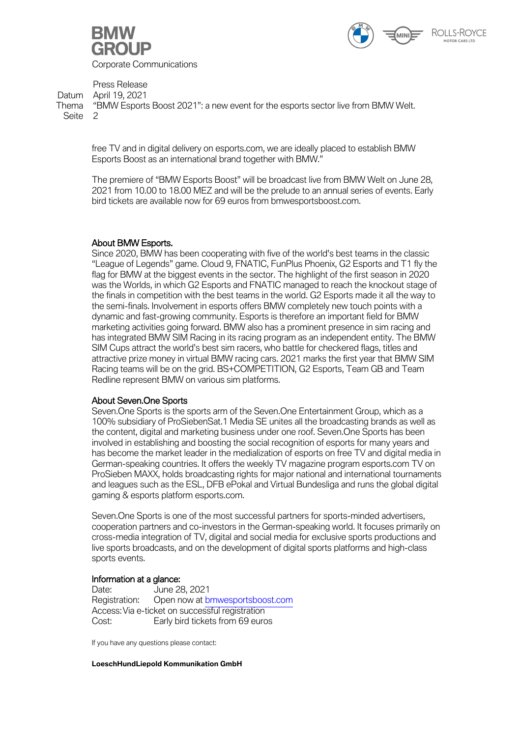



Press Release Datum April 19, 2021

Thema "BMW Esports Boost 2021": a new event for the esports sector live from BMW Welt. Seite 2

free TV and in digital delivery on esports.com, we are ideally placed to establish BMW Esports Boost as an international brand together with BMW."

The premiere of "BMW Esports Boost" will be broadcast live from BMW Welt on June 28, 2021 from 10.00 to 18.00 MEZ and will be the prelude to an annual series of events. Early bird tickets are available now for 69 euros from bmwesportsboost.com.

## About BMW Esports.

Since 2020, BMW has been cooperating with five of the world's best teams in the classic "League of Legends" game. Cloud 9, FNATIC, FunPlus Phoenix, G2 Esports and T1 fly the flag for BMW at the biggest events in the sector. The highlight of the first season in 2020 was the Worlds, in which G2 Esports and FNATIC managed to reach the knockout stage of the finals in competition with the best teams in the world. G2 Esports made it all the way to the semi-finals. Involvement in esports offers BMW completely new touch points with a dynamic and fast-growing community. Esports is therefore an important field for BMW marketing activities going forward. BMW also has a prominent presence in sim racing and has integrated BMW SIM Racing in its racing program as an independent entity. The BMW SIM Cups attract the world's best sim racers, who battle for checkered flags, titles and attractive prize money in virtual BMW racing cars. 2021 marks the first year that BMW SIM Racing teams will be on the grid. BS+COMPETITION, G2 Esports, Team GB and Team Redline represent BMW on various sim platforms.

### About Seven.One Sports

Seven.One Sports is the sports arm of the Seven.One Entertainment Group, which as a 100% subsidiary of ProSiebenSat.1 Media SE unites all the broadcasting brands as well as the content, digital and marketing business under one roof. Seven.One Sports has been involved in establishing and boosting the social recognition of esports for many years and has become the market leader in the medialization of esports on free TV and digital media in German-speaking countries. It offers the weekly TV magazine program esports.com TV on ProSieben MAXX, holds broadcasting rights for major national and international tournaments and leagues such as the ESL, DFB ePokal and Virtual Bundesliga and runs the global digital gaming & esports platform esports.com.

Seven.One Sports is one of the most successful partners for sports-minded advertisers, cooperation partners and co-investors in the German-speaking world. It focuses primarily on cross-media integration of TV, digital and social media for exclusive sports productions and live sports broadcasts, and on the development of digital sports platforms and high-class sports events.

# **Information at a glance:**<br>Date: June 28

Date: June 28, 2021<br>Registration: Open now at b Open now at bmwesportsboost.com Access: Via e-ticket on successful registration Cost: Early bird tickets from 69 euros

If you have any questions please contact:

**LoeschHundLiepold Kommunikation GmbH**